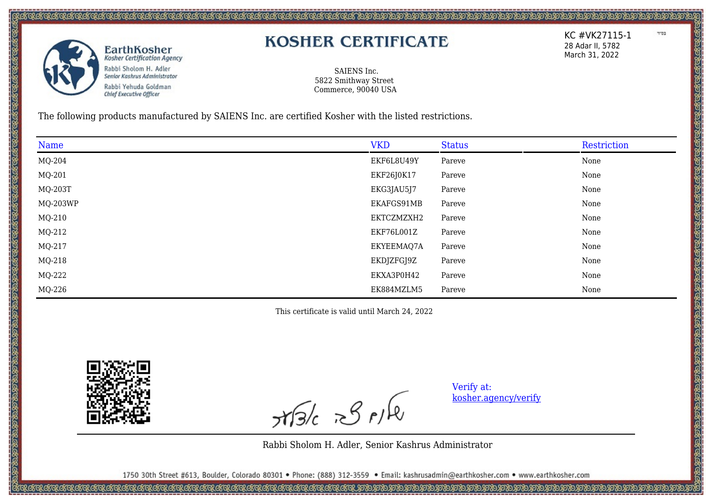

SAIENS Inc. 5822 Smithway Street Commerce, 90040 USA

The following products manufactured by SAIENS Inc. are certified Kosher with the listed restrictions.

| Name     | <b>VKD</b> | <b>Status</b> | Restriction |
|----------|------------|---------------|-------------|
| MQ-204   | EKF6L8U49Y | Pareve        | None        |
| MQ-201   | EKF26J0K17 | Pareve        | None        |
| MQ-203T  | EKG3JAU5J7 | Pareve        | None        |
| MQ-203WP | EKAFGS91MB | Pareve        | None        |
| MQ-210   | EKTCZMZXH2 | Pareve        | None        |
| MQ-212   | EKF76L001Z | Pareve        | None        |
| MQ-217   | EKYEEMAQ7A | Pareve        | None        |
| MQ-218   | EKDJZFGJ9Z | Pareve        | None        |
| MQ-222   | EKXA3P0H42 | Pareve        | None        |
| MQ-226   | EK884MZLM5 | Pareve        | None        |

This certificate is valid until March 24, 2022



, 1989, 1989, 1989, 1989, 1989, 1989, 1989, 1989, 1989, 1989, 1989, 1989, 1989, 1989, 1989, 1989, 1989, 1989, <br>The control of the control of the control of the control of the control of the control of the control of the c

 $x$ 

Verify at: [kosher.agency/verify](https://kosher.agency/verify)

Rabbi Sholom H. Adler, Senior Kashrus Administrator

1750 30th Street #613, Boulder, Colorado 80301 . Phone: (888) 312-3559 . Email: kashrusadmin@earthkosher.com . www.earthkosher.com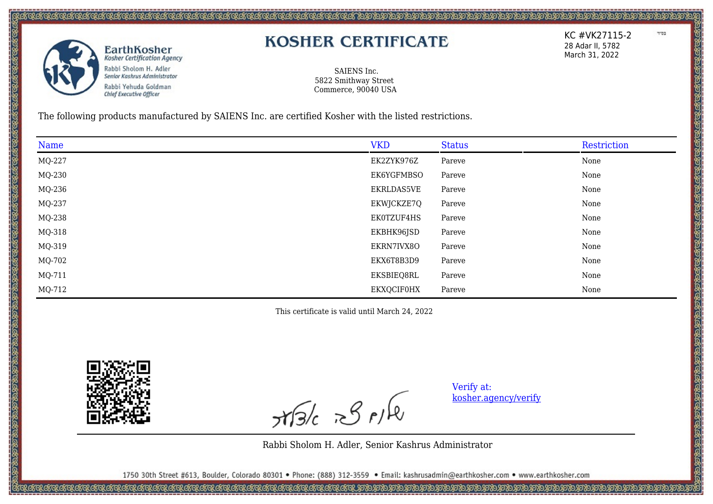

SAIENS Inc. 5822 Smithway Street Commerce, 90040 USA

The following products manufactured by SAIENS Inc. are certified Kosher with the listed restrictions.

| Name   | <b>VKD</b>        | <b>Status</b> | Restriction |
|--------|-------------------|---------------|-------------|
| MQ-227 | EK2ZYK976Z        | Pareve        | None        |
| MQ-230 | EK6YGFMBSO        | Pareve        | None        |
| MQ-236 | <b>EKRLDAS5VE</b> | Pareve        | None        |
| MQ-237 | EKWJCKZE7Q        | Pareve        | None        |
| MQ-238 | EK0TZUF4HS        | Pareve        | None        |
| MQ-318 | EKBHK96JSD        | Pareve        | None        |
| MQ-319 | EKRN7IVX8O        | Pareve        | None        |
| MQ-702 | EKX6T8B3D9        | Pareve        | None        |
| MQ-711 | EKSBIEQ8RL        | Pareve        | None        |
| MQ-712 | <b>EKXQCIF0HX</b> | Pareve        | None        |

This certificate is valid until March 24, 2022



, 1989, 1989, 1989, 1989, 1989, 1989, 1989, 1989, 1989, 1989, 1989, 1989, 1989, 1989, 1989, 1989, 1989, 1989, <br>The control of the control of the control of the control of the control of the control of the control of the c

 $x$ 

Verify at: [kosher.agency/verify](https://kosher.agency/verify)

Rabbi Sholom H. Adler, Senior Kashrus Administrator

1750 30th Street #613, Boulder, Colorado 80301 . Phone: (888) 312-3559 . Email: kashrusadmin@earthkosher.com . www.earthkosher.com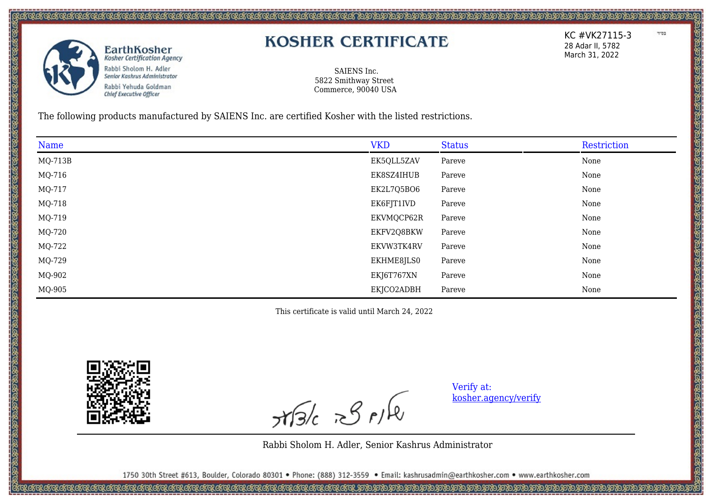

SAIENS Inc. 5822 Smithway Street Commerce, 90040 USA

The following products manufactured by SAIENS Inc. are certified Kosher with the listed restrictions.

| Name      | <b>VKD</b> | <b>Status</b> | Restriction |
|-----------|------------|---------------|-------------|
| $MQ-713B$ | EK5QLL5ZAV | Pareve        | None        |
| MQ-716    | EK8SZ4IHUB | Pareve        | None        |
| MQ-717    | EK2L7Q5BO6 | Pareve        | None        |
| MQ-718    | EK6FJT1IVD | Pareve        | None        |
| MQ-719    | EKVMQCP62R | Pareve        | None        |
| MQ-720    | EKFV2Q8BKW | Pareve        | None        |
| MQ-722    | EKVW3TK4RV | Pareve        | None        |
| MQ-729    | EKHME8JLS0 | Pareve        | None        |
| MQ-902    | EKJ6T767XN | Pareve        | None        |
| MQ-905    | EKJCO2ADBH | Pareve        | None        |

This certificate is valid until March 24, 2022



, 1989, 1989, 1989, 1989, 1989, 1989, 1989, 1989, 1989, 1989, 1989, 1989, 1989, 1989, 1989, 1989, 1989, 1989, <br>The control of the control of the control of the control of the control of the control of the control of the c

 $x$ 

Verify at: [kosher.agency/verify](https://kosher.agency/verify)

Rabbi Sholom H. Adler, Senior Kashrus Administrator

1750 30th Street #613, Boulder, Colorado 80301 . Phone: (888) 312-3559 . Email: kashrusadmin@earthkosher.com . www.earthkosher.com